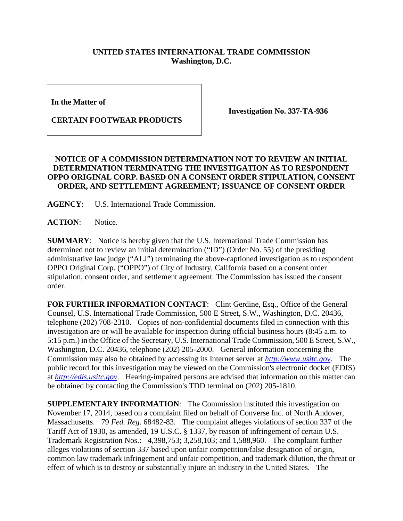## **UNITED STATES INTERNATIONAL TRADE COMMISSION Washington, D.C.**

**In the Matter of** 

**CERTAIN FOOTWEAR PRODUCTS**

**Investigation No. 337-TA-936**

## **NOTICE OF A COMMISSION DETERMINATION NOT TO REVIEW AN INITIAL DETERMINATION TERMINATING THE INVESTIGATION AS TO RESPONDENT OPPO ORIGINAL CORP. BASED ON A CONSENT ORDER STIPULATION, CONSENT ORDER, AND SETTLEMENT AGREEMENT; ISSUANCE OF CONSENT ORDER**

**AGENCY**: U.S. International Trade Commission.

**ACTION**: Notice.

**SUMMARY**: Notice is hereby given that the U.S. International Trade Commission has determined not to review an initial determination ("ID") (Order No. 55) of the presiding administrative law judge ("ALJ") terminating the above-captioned investigation as to respondent OPPO Original Corp. ("OPPO") of City of Industry, California based on a consent order stipulation, consent order, and settlement agreement. The Commission has issued the consent order.

**FOR FURTHER INFORMATION CONTACT**: Clint Gerdine, Esq., Office of the General Counsel, U.S. International Trade Commission, 500 E Street, S.W., Washington, D.C. 20436, telephone (202) 708-2310. Copies of non-confidential documents filed in connection with this investigation are or will be available for inspection during official business hours (8:45 a.m. to 5:15 p.m.) in the Office of the Secretary, U.S. International Trade Commission, 500 E Street, S.W., Washington, D.C. 20436, telephone (202) 205-2000. General information concerning the Commission may also be obtained by accessing its Internet server at *[http://www.usitc.gov](http://www.usitc.gov/)*. The public record for this investigation may be viewed on the Commission's electronic docket (EDIS) at *[http://edis.usitc.gov](http://edis.usitc.gov/)*. Hearing-impaired persons are advised that information on this matter can be obtained by contacting the Commission's TDD terminal on (202) 205-1810.

**SUPPLEMENTARY INFORMATION:** The Commission instituted this investigation on November 17, 2014, based on a complaint filed on behalf of Converse Inc. of North Andover, Massachusetts. 79 *Fed. Reg.* 68482-83. The complaint alleges violations of section 337 of the Tariff Act of 1930, as amended, 19 U.S.C. § 1337, by reason of infringement of certain U.S. Trademark Registration Nos.: 4,398,753; 3,258,103; and 1,588,960. The complaint further alleges violations of section 337 based upon unfair competition/false designation of origin, common law trademark infringement and unfair competition, and trademark dilution, the threat or effect of which is to destroy or substantially injure an industry in the United States. The